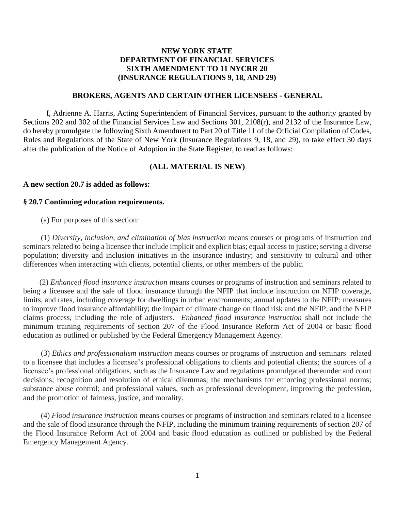# **NEW YORK STATE DEPARTMENT OF FINANCIAL SERVICES SIXTH AMENDMENT TO 11 NYCRR 20 (INSURANCE REGULATIONS 9, 18, AND 29)**

## **BROKERS, AGENTS AND CERTAIN OTHER LICENSEES - GENERAL**

 Rules and Regulations of the State of New York (Insurance Regulations 9, 18, and 29), to take effect 30 days I, Adrienne A. Harris, Acting Superintendent of Financial Services, pursuant to the authority granted by Sections 202 and 302 of the Financial Services Law and Sections 301, 2108(r), and 2132 of the Insurance Law, do hereby promulgate the following Sixth Amendment to Part 20 of Title 11 of the Official Compilation of Codes, after the publication of the Notice of Adoption in the State Register, to read as follows:

#### **(ALL MATERIAL IS NEW)**

### **A new section 20.7 is added as follows:**

#### **§ 20.7 Continuing education requirements.**

(a) For purposes of this section:

 seminars related to being a licensee that include implicit and explicit bias; equal access to justice; serving a diverse (1) *Diversity, inclusion, and elimination of bias instruction* means courses or programs of instruction and population; diversity and inclusion initiatives in the insurance industry; and sensitivity to cultural and other differences when interacting with clients, potential clients, or other members of the public.

 claims process, including the role of adjusters. *Enhanced flood insurance instruction* shall not include the (2) *Enhanced flood insurance instruction* means courses or programs of instruction and seminars related to being a licensee and the sale of flood insurance through the NFIP that include instruction on NFIP coverage, limits, and rates, including coverage for dwellings in urban environments; annual updates to the NFIP; measures to improve flood insurance affordability; the impact of climate change on flood risk and the NFIP; and the NFIP minimum training requirements of section 207 of the Flood Insurance Reform Act of 2004 or basic flood education as outlined or published by the Federal Emergency Management Agency.

 to a licensee that includes a licensee's professional obligations to clients and potential clients; the sources of a substance abuse control; and professional values, such as professional development, improving the profession, (3) *Ethics and professionalism instruction* means courses or programs of instruction and seminars related licensee's professional obligations, such as the Insurance Law and regulations promulgated thereunder and court decisions; recognition and resolution of ethical dilemmas; the mechanisms for enforcing professional norms; and the promotion of fairness, justice, and morality.

 the Flood Insurance Reform Act of 2004 and basic flood education as outlined or published by the Federal (4) *Flood insurance instruction* means courses or programs of instruction and seminars related to a licensee and the sale of flood insurance through the NFIP, including the minimum training requirements of section 207 of Emergency Management Agency.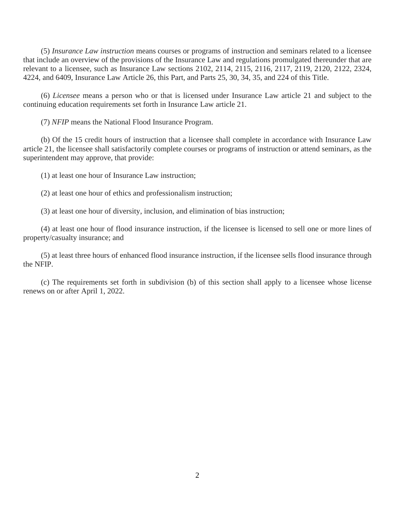(5) *Insurance Law instruction* means courses or programs of instruction and seminars related to a licensee that include an overview of the provisions of the Insurance Law and regulations promulgated thereunder that are relevant to a licensee, such as Insurance Law sections 2102, 2114, 2115, 2116, 2117, 2119, 2120, 2122, 2324, 4224, and 6409, Insurance Law Article 26, this Part, and Parts 25, 30, 34, 35, and 224 of this Title.

(6) *Licensee* means a person who or that is licensed under Insurance Law article 21 and subject to the continuing education requirements set forth in Insurance Law article 21.

(7) *NFIP* means the National Flood Insurance Program.

 (b) Of the 15 credit hours of instruction that a licensee shall complete in accordance with Insurance Law article 21, the licensee shall satisfactorily complete courses or programs of instruction or attend seminars, as the superintendent may approve, that provide:

(1) at least one hour of Insurance Law instruction;

(2) at least one hour of ethics and professionalism instruction;

(3) at least one hour of diversity, inclusion, and elimination of bias instruction;

(4) at least one hour of flood insurance instruction, if the licensee is licensed to sell one or more lines of property/casualty insurance; and

 (5) at least three hours of enhanced flood insurance instruction, if the licensee sells flood insurance through the NFIP.

 (c) The requirements set forth in subdivision (b) of this section shall apply to a licensee whose license renews on or after April 1, 2022.